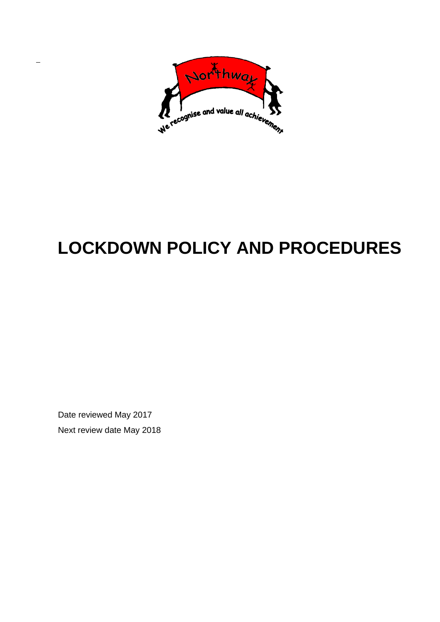

# **LOCKDOWN POLICY AND PROCEDURES**

Date reviewed May 2017 Next review date May 2018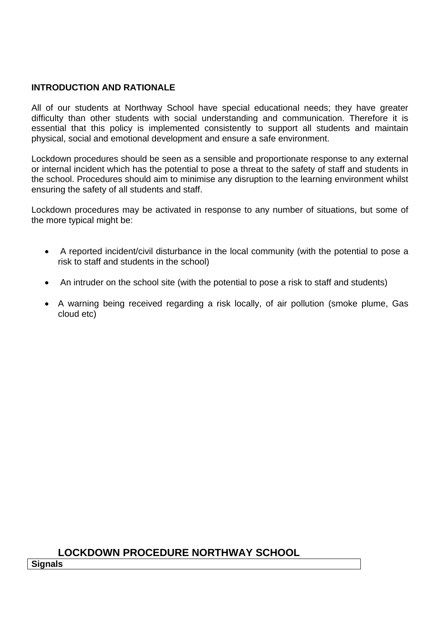## **INTRODUCTION AND RATIONALE**

All of our students at Northway School have special educational needs; they have greater difficulty than other students with social understanding and communication. Therefore it is essential that this policy is implemented consistently to support all students and maintain physical, social and emotional development and ensure a safe environment.

Lockdown procedures should be seen as a sensible and proportionate response to any external or internal incident which has the potential to pose a threat to the safety of staff and students in the school. Procedures should aim to minimise any disruption to the learning environment whilst ensuring the safety of all students and staff.

Lockdown procedures may be activated in response to any number of situations, but some of the more typical might be:

- A reported incident/civil disturbance in the local community (with the potential to pose a risk to staff and students in the school)
- An intruder on the school site (with the potential to pose a risk to staff and students)
- A warning being received regarding a risk locally, of air pollution (smoke plume, Gas cloud etc)

## **LOCKDOWN PROCEDURE NORTHWAY SCHOOL**

**Signals**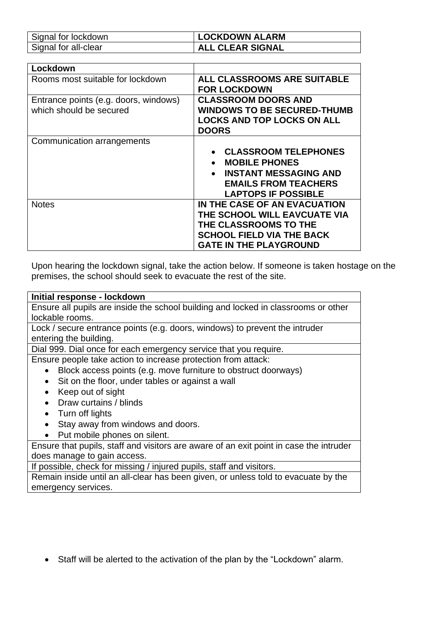| Signal for lockdown  | <b>LOCKDOWN ALARM</b>   |
|----------------------|-------------------------|
| Signal for all-clear | <b>ALL CLEAR SIGNAL</b> |

| Lockdown                              |                                           |
|---------------------------------------|-------------------------------------------|
| Rooms most suitable for lockdown      | <b>ALL CLASSROOMS ARE SUITABLE</b>        |
|                                       | <b>FOR LOCKDOWN</b>                       |
| Entrance points (e.g. doors, windows) | <b>CLASSROOM DOORS AND</b>                |
| which should be secured               | <b>WINDOWS TO BE SECURED-THUMB</b>        |
|                                       | <b>LOCKS AND TOP LOCKS ON ALL</b>         |
|                                       | <b>DOORS</b>                              |
| Communication arrangements            |                                           |
|                                       | <b>CLASSROOM TELEPHONES</b>               |
|                                       | <b>MOBILE PHONES</b><br>$\bullet$         |
|                                       | <b>INSTANT MESSAGING AND</b><br>$\bullet$ |
|                                       | <b>EMAILS FROM TEACHERS</b>               |
|                                       | <b>LAPTOPS IF POSSIBLE</b>                |
| <b>Notes</b>                          | IN THE CASE OF AN EVACUATION              |
|                                       | THE SCHOOL WILL EAVCUATE VIA              |
|                                       |                                           |
|                                       | <b>THE CLASSROOMS TO THE</b>              |
|                                       | <b>SCHOOL FIELD VIA THE BACK</b>          |
|                                       | <b>GATE IN THE PLAYGROUND</b>             |

Upon hearing the lockdown signal, take the action below. If someone is taken hostage on the premises, the school should seek to evacuate the rest of the site.

**Initial response - lockdown** Ensure all pupils are inside the school building and locked in classrooms or other lockable rooms.

Lock / secure entrance points (e.g. doors, windows) to prevent the intruder entering the building.

Dial 999. Dial once for each emergency service that you require.

Ensure people take action to increase protection from attack:

- Block access points (e.g. move furniture to obstruct doorways)
- Sit on the floor, under tables or against a wall
- Keep out of sight
- Draw curtains / blinds
- Turn off lights
- Stay away from windows and doors.
- Put mobile phones on silent.

Ensure that pupils, staff and visitors are aware of an exit point in case the intruder does manage to gain access.

If possible, check for missing / injured pupils, staff and visitors.

Remain inside until an all-clear has been given, or unless told to evacuate by the emergency services.

Staff will be alerted to the activation of the plan by the "Lockdown" alarm.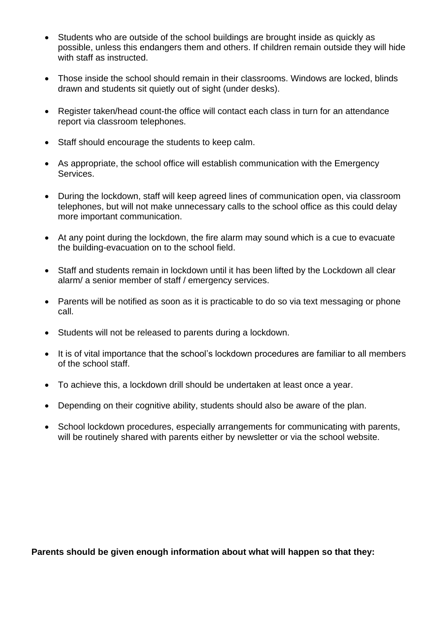- Students who are outside of the school buildings are brought inside as quickly as possible, unless this endangers them and others. If children remain outside they will hide with staff as instructed.
- Those inside the school should remain in their classrooms. Windows are locked, blinds drawn and students sit quietly out of sight (under desks).
- Register taken/head count-the office will contact each class in turn for an attendance report via classroom telephones.
- Staff should encourage the students to keep calm.
- As appropriate, the school office will establish communication with the Emergency Services.
- During the lockdown, staff will keep agreed lines of communication open, via classroom telephones, but will not make unnecessary calls to the school office as this could delay more important communication.
- At any point during the lockdown, the fire alarm may sound which is a cue to evacuate the building-evacuation on to the school field.
- Staff and students remain in lockdown until it has been lifted by the Lockdown all clear alarm/ a senior member of staff / emergency services.
- Parents will be notified as soon as it is practicable to do so via text messaging or phone call.
- Students will not be released to parents during a lockdown.
- It is of vital importance that the school's lockdown procedures are familiar to all members of the school staff.
- To achieve this, a lockdown drill should be undertaken at least once a year.
- Depending on their cognitive ability, students should also be aware of the plan.
- School lockdown procedures, especially arrangements for communicating with parents, will be routinely shared with parents either by newsletter or via the school website.

**Parents should be given enough information about what will happen so that they:**